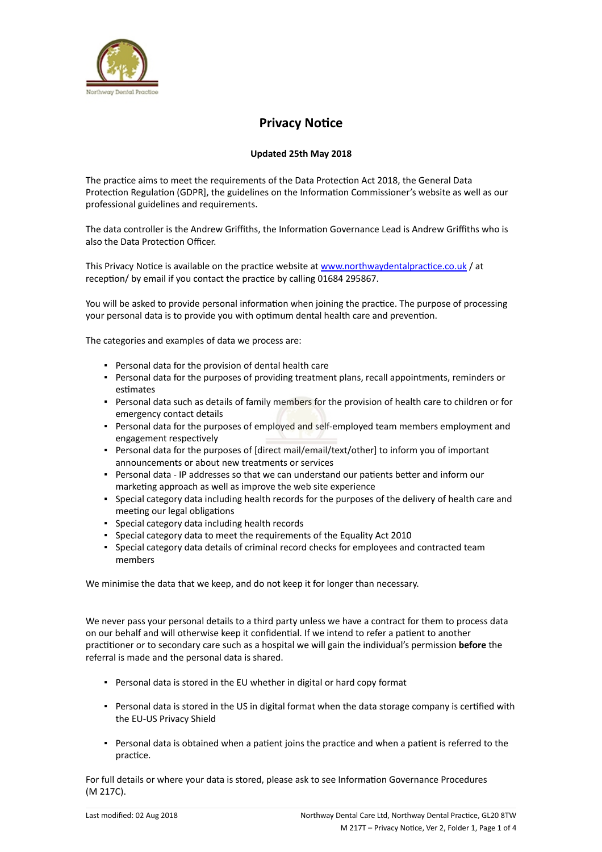

## **Privacy Notice**

## **Updated 25th May 2018**

The practice aims to meet the requirements of the Data Protection Act 2018, the General Data Protection Regulation (GDPR], the guidelines on the Information Commissioner's website as well as our professional guidelines and requirements.

The data controller is the Andrew Griffiths, the Information Governance Lead is Andrew Griffiths who is also the Data Protection Officer.

This Privacy Notice is available on the practice website at [www.northwaydentalpractice.co.uk](https://dental.icomply.org/api/export/render/6b206625-39d0-459f-8e82-fbae53c9c673/www.practice.com/privacynotice) / at reception/ by email if you contact the practice by calling 01684 295867.

You will be asked to provide personal information when joining the practice. The purpose of processing your personal data is to provide you with optimum dental health care and prevention.

The categories and examples of data we process are:

- Personal data for the provision of dental health care
- Personal data for the purposes of providing treatment plans, recall appointments, reminders or estimates
- Personal data such as details of family members for the provision of health care to children or for emergency contact details
- **Personal data for the purposes of employed and self-employed team members employment and** engagement respectively
- Personal data for the purposes of [direct mail/email/text/other] to inform you of important announcements or about new treatments or services
- Personal data IP addresses so that we can understand our patients better and inform our marketing approach as well as improve the web site experience
- Special category data including health records for the purposes of the delivery of health care and meeting our legal obligations
- Special category data including health records
- Special category data to meet the requirements of the Equality Act 2010
- Special category data details of criminal record checks for employees and contracted team members

We minimise the data that we keep, and do not keep it for longer than necessary.

We never pass your personal details to a third party unless we have a contract for them to process data on our behalf and will otherwise keep it confidential. If we intend to refer a patient to another practitioner or to secondary care such as a hospital we will gain the individual's permission **before** the referral is made and the personal data is shared.

- Personal data is stored in the EU whether in digital or hard copy format
- Personal data is stored in the US in digital format when the data storage company is certified with the EU-US Privacy Shield
- Personal data is obtained when a patient joins the practice and when a patient is referred to the practice.

For full details or where your data is stored, please ask to see Information Governance Procedures (M 217C).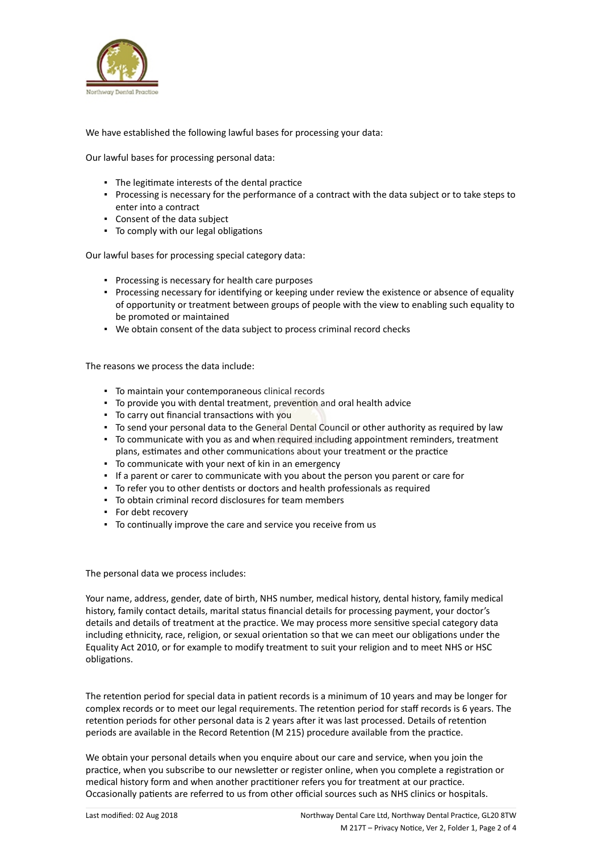

We have established the following lawful bases for processing your data:

Our lawful bases for processing personal data:

- The legitimate interests of the dental practice
- Processing is necessary for the performance of a contract with the data subject or to take steps to enter into a contract
- Consent of the data subject
- To comply with our legal obligations

Our lawful bases for processing special category data:

- Processing is necessary for health care purposes
- Processing necessary for identifying or keeping under review the existence or absence of equality of opportunity or treatment between groups of people with the view to enabling such equality to be promoted or maintained
- We obtain consent of the data subject to process criminal record checks

The reasons we process the data include:

- To maintain your contemporaneous clinical records
- To provide you with dental treatment, prevention and oral health advice
- To carry out financial transactions with you
- To send your personal data to the General Dental Council or other authority as required by law
- To communicate with you as and when required including appointment reminders, treatment plans, estimates and other communications about your treatment or the practice
- To communicate with your next of kin in an emergency
- If a parent or carer to communicate with you about the person you parent or care for
- To refer you to other dentists or doctors and health professionals as required
- To obtain criminal record disclosures for team members
- For debt recovery
- To continually improve the care and service you receive from us

The personal data we process includes:

Your name, address, gender, date of birth, NHS number, medical history, dental history, family medical history, family contact details, marital status financial details for processing payment, your doctor's details and details of treatment at the practice. We may process more sensitive special category data including ethnicity, race, religion, or sexual orientation so that we can meet our obligations under the Equality Act 2010, or for example to modify treatment to suit your religion and to meet NHS or HSC obligations.

The retention period for special data in patient records is a minimum of 10 years and may be longer for complex records or to meet our legal requirements. The retention period for staff records is 6 years. The retention periods for other personal data is 2 years after it was last processed. Details of retention periods are available in the Record Retention (M 215) procedure available from the practice.

We obtain your personal details when you enquire about our care and service, when you join the practice, when you subscribe to our newsletter or register online, when you complete a registration or medical history form and when another practitioner refers you for treatment at our practice. Occasionally patients are referred to us from other official sources such as NHS clinics or hospitals.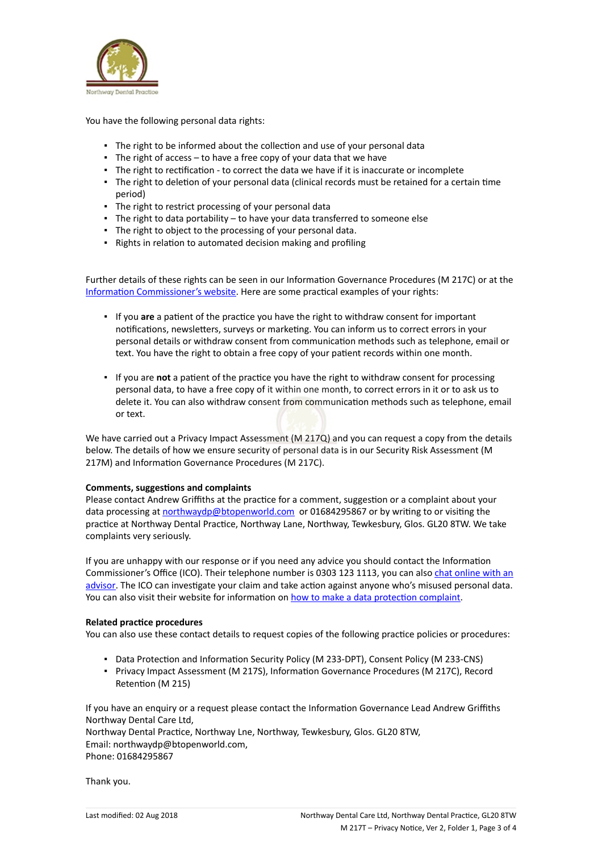

You have the following personal data rights:

- The right to be informed about the collection and use of your personal data
- $\blacksquare$  The right of access to have a free copy of your data that we have
- The right to rectification to correct the data we have if it is inaccurate or incomplete
- The right to deletion of your personal data (clinical records must be retained for a certain time period)
- The right to restrict processing of your personal data
- The right to data portability to have your data transferred to someone else
- The right to object to the processing of your personal data.
- Rights in relation to automated decision making and profiling

Further details of these rights can be seen in our Information Governance Procedures (M 217C) or at the [Information Commissioner's website](https://ico.org.uk/for-organisations/guide-to-the-general-data-protection-regulation-gdpr/individual-rights/). Here are some practical examples of your rights:

- If you **are** a patient of the practice you have the right to withdraw consent for important notifications, newsletters, surveys or marketing. You can inform us to correct errors in your personal details or withdraw consent from communication methods such as telephone, email or text. You have the right to obtain a free copy of your patient records within one month.
- If you are **not** a patient of the practice you have the right to withdraw consent for processing personal data, to have a free copy of it within one month, to correct errors in it or to ask us to delete it. You can also withdraw consent from communication methods such as telephone, email or text.

We have carried out a Privacy Impact Assessment (M 217Q) and you can request a copy from the details below. The details of how we ensure security of personal data is in our Security Risk Assessment (M 217M) and Information Governance Procedures (M 217C).

## **Comments, suggestions and complaints**

Please contact Andrew Griffiths at the practice for a comment, suggestion or a complaint about your data processing at [northwaydp@btopenworld.com](mailto:northwaydp@btopenworld.com) or 01684295867 or by writing to or visiting the practice at Northway Dental Practice, Northway Lane, Northway, Tewkesbury, Glos. GL20 8TW. We take complaints very seriously.

If you are unhappy with our response or if you need any advice you should contact the Information Commissioner's Office (ICO). Their telephone number is 0303 123 1113, you can also [chat online with an](https://ico.org.uk/global/contact-us/live-chat/) [advisor](https://ico.org.uk/global/contact-us/live-chat/). The ICO can investigate your claim and take action against anyone who's misused personal data. You can also visit their website for information on [how to make a data protection complaint](http://www.ico.org.uk/complaints).

## **Related practice procedures**

You can also use these contact details to request copies of the following practice policies or procedures:

- Data Protection and Information Security Policy (M 233-DPT), Consent Policy (M 233-CNS)
- Privacy Impact Assessment (M 217S), Information Governance Procedures (M 217C), Record Retention (M 215)

If you have an enquiry or a request please contact the Information Governance Lead Andrew Griffiths Northway Dental Care Ltd, Northway Dental Practice, Northway Lne, Northway, Tewkesbury, Glos. GL20 8TW, Email: northwaydp@btopenworld.com, Phone: 01684295867

Thank you.